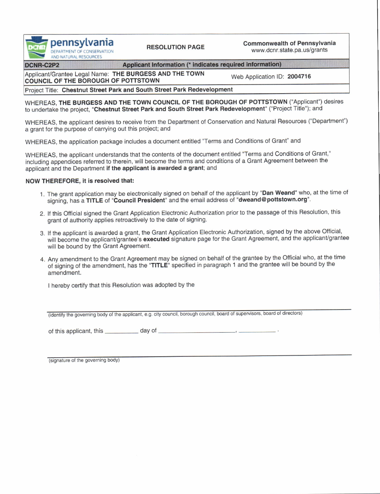pennsylvania DEPARTMENT OF CONSERVATION<br>AND NATURAL RESOURCES

RESOLUTION PAGE Commonwealth of Pennsylvania www.dcnr.state.pa.us/grants

DCNR-C2P2

Applicant Information (\* indicates required information)

Applicant/Grantee Legal Name: THE BURGESS AND THE TOWN Applicativerantee Legal Name: THE BURGESS AND THE TOWN Web Application ID: 2004716<br>COUNCIL OF THE BOROUGH OF POTTSTOWN

Project Title: Chestnut Street Park and South Street Park Redevelopment

WHEREAS, THE BURGESS AND THE TOWN COUNCIL OF THE BOROUGH OF POTTSTOWN ("Applicant") desires to undertake the project, "Chestnut Street Park and South Street Park Redevelopment" ("Project Title"); and

WHEREAS, the applicant desires to receive from the Department of Conservation and Natural Resources ("Department") a grant for the purpose of carrying out this project; and

WHEREAS, the application package includes a document entitled'Terms and Conditions of Grant' and

WHEREAS, the applicant understands that the contents of the document entitled "Terms and Conditions of Grant," including appendices referred to therein, will become the terms and conditions of a Grant Agreement between the applicant and the Department if the applicant is awarded a grant; and

## NOW THEREFORE, it is resolved that:

- 1. The grant application may be electronically signed on behalf of the applicant by "Dan Weand" who, at the time of signing, has a TITLE of "Council President" and the email address of "dweand@pottstown.org".
- 2. lf this Ofiicial signed the Grant Application Electronic Authorization prior to the passage ot this Resolution, this grant of authority applies retroactively to the date ot signing.
- 3. lf the applicant is awarded a grant, the Grant Application Electronic Authorization, signed by the above Otficial, will become the applicant/grantee's executed signature page for the Grant Agreement, and the applicant/grantee will be bound by the Grant Agreement.
- 4. Any amendment to the Grant Agreement may be signed on behalf of the grantee by the Official who, at the time of signing of the amendment, has the "TITLE" specified in paragraph 1 and the grantee will be bound by the amendment.

I hereby certify that this Resolution was adopted by the

(identify the governing body of the applicant, e.g. city council, borough council, board of supervisors, board of directors)

of this applicant, this \_\_\_\_\_\_\_\_\_\_ day of  $\sim$ 

(signature of the governing body)